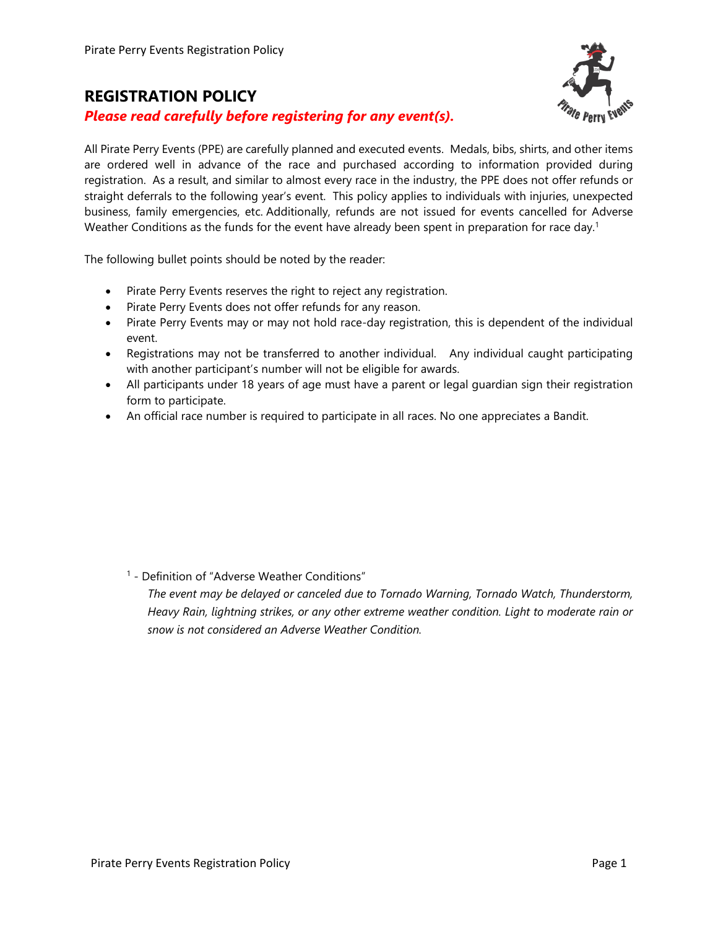#### **REGISTRATION POLICY**

*Please read carefully before registering for any event(s).*

All Pirate Perry Events (PPE) are carefully planned and executed events. Medals, bibs, shirts, and other items are ordered well in advance of the race and purchased according to information provided during registration. As a result, and similar to almost every race in the industry, the PPE does not offer refunds or straight deferrals to the following year's event. This policy applies to individuals with injuries, unexpected business, family emergencies, etc. Additionally, refunds are not issued for events cancelled for Adverse Weather Conditions as the funds for the event have already been spent in preparation for race day.<sup>1</sup>

The following bullet points should be noted by the reader:

- Pirate Perry Events reserves the right to reject any registration.
- Pirate Perry Events does not offer refunds for any reason.
- Pirate Perry Events may or may not hold race-day registration, this is dependent of the individual event.
- Registrations may not be transferred to another individual. Any individual caught participating with another participant's number will not be eligible for awards.
- All participants under 18 years of age must have a parent or legal guardian sign their registration form to participate.
- An official race number is required to participate in all races. No one appreciates a Bandit.

<sup>1</sup> - Definition of "Adverse Weather Conditions"

*The event may be delayed or canceled due to Tornado Warning, Tornado Watch, Thunderstorm, Heavy Rain, lightning strikes, or any other extreme weather condition. Light to moderate rain or snow is not considered an Adverse Weather Condition.*